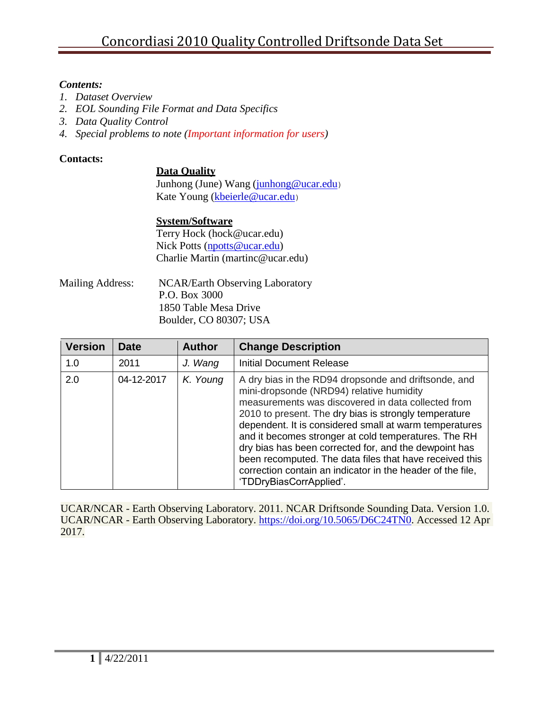## *Contents:*

- *1. Dataset Overview*
- *2. EOL Sounding File Format and Data Specifics*
- *3. Data Quality Control*
- *4. Special problems to note (Important information for users)*

## **Contacts:**

#### **Data Quality**

Junhong (June) Wang [\(junhong@ucar.edu](mailto:junhong@ucar.edu)) Kate Young [\(kbeierle@ucar.edu](mailto:kbeierle@ucar.edu))

# **System/Software**

Terry Hock (hock@ucar.edu) Nick Potts [\(npotts@ucar.edu\)](file://cit/eol/EOL%20Documents%20Folders/junhong/My%20Documents/Driftsonde/T-PARC/lauritsn@ucar.edu) Charlie Martin (martinc@ucar.edu)

Mailing Address: NCAR/Earth Observing Laboratory P.O. Box 3000 1850 Table Mesa Drive Boulder, CO 80307; USA

| <b>Version</b> | <b>Date</b> | <b>Author</b> | <b>Change Description</b>                                                                                                                                                                                                                                                                                                                                                                                                                                                                                                                      |
|----------------|-------------|---------------|------------------------------------------------------------------------------------------------------------------------------------------------------------------------------------------------------------------------------------------------------------------------------------------------------------------------------------------------------------------------------------------------------------------------------------------------------------------------------------------------------------------------------------------------|
| 1.0            | 2011        | J. Wang       | <b>Initial Document Release</b>                                                                                                                                                                                                                                                                                                                                                                                                                                                                                                                |
| 2.0            | 04-12-2017  | K. Young      | A dry bias in the RD94 dropsonde and driftsonde, and<br>mini-dropsonde (NRD94) relative humidity<br>measurements was discovered in data collected from<br>2010 to present. The dry bias is strongly temperature<br>dependent. It is considered small at warm temperatures<br>and it becomes stronger at cold temperatures. The RH<br>dry bias has been corrected for, and the dewpoint has<br>been recomputed. The data files that have received this<br>correction contain an indicator in the header of the file,<br>'TDDryBiasCorrApplied'. |

UCAR/NCAR - Earth Observing Laboratory. 2011. NCAR Driftsonde Sounding Data. Version 1.0. UCAR/NCAR - Earth Observing Laboratory. [https://doi.org/10.5065/D6C24TN0.](https://doi.org/10.5065/D6C24TN0) Accessed 12 Apr 2017.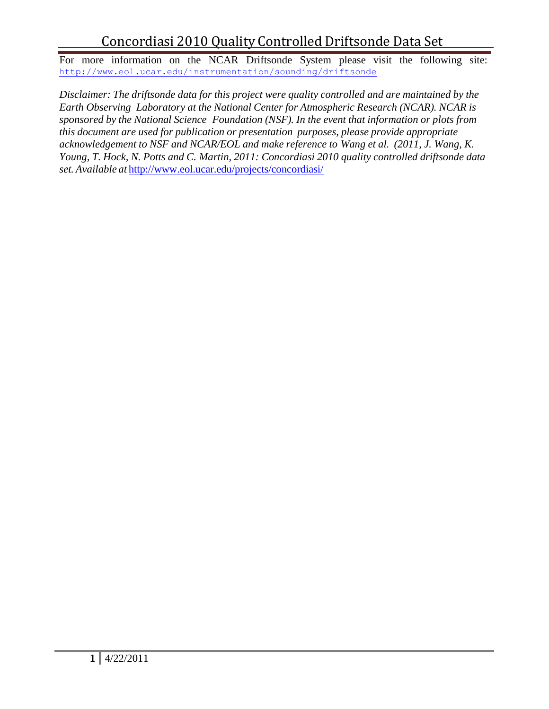# Concordiasi 2010 Quality Controlled Driftsonde Data Set

For more information on the NCAR Driftsonde System please visit the following site: <http://www.eol.ucar.edu/instrumentation/sounding/driftsonde>

*Disclaimer: The driftsonde data for this project were quality controlled and are maintained by the Earth Observing Laboratory at the National Center for Atmospheric Research (NCAR). NCAR is sponsored by the National Science Foundation (NSF). In the event that information or plots from this document are used for publication or presentation purposes, please provide appropriate acknowledgement to NSF and NCAR/EOL and make reference to Wang et al. (2011, J. Wang, K. Young, T. Hock, N. Potts and C. Martin, 2011: Concordiasi 2010 quality controlled driftsonde data set. Available at* <http://www.eol.ucar.edu/projects/concordiasi/>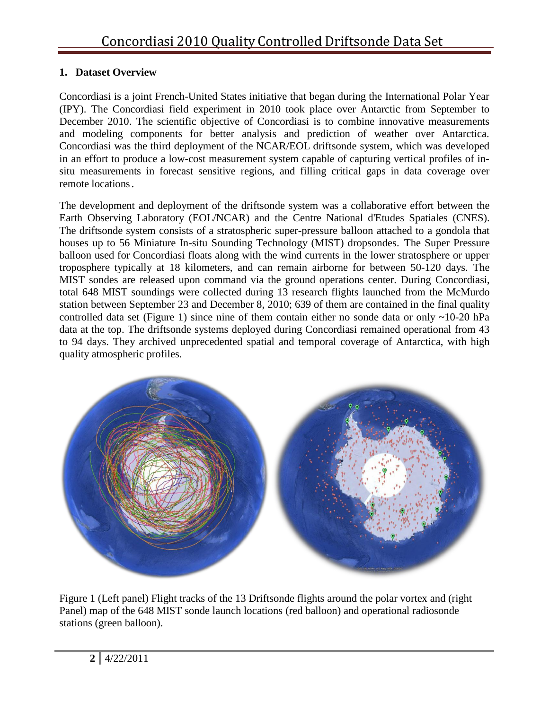## **1. Dataset Overview**

Concordiasi is a joint French-United States initiative that began during the International Polar Year (IPY). The Concordiasi field experiment in 2010 took place over Antarctic from September to December 2010. The scientific objective of Concordiasi is to combine innovative measurements and modeling components for better analysis and prediction of weather over Antarctica. Concordiasi was the third deployment of the NCAR/EOL driftsonde system, which was developed in an effort to produce a low-cost measurement system capable of capturing vertical profiles of insitu measurements in forecast sensitive regions, and filling critical gaps in data coverage over remote locations.

The development and deployment of the driftsonde system was a collaborative effort between the Earth Observing Laboratory (EOL/NCAR) and the Centre National d'Etudes Spatiales (CNES). The driftsonde system consists of a stratospheric super-pressure balloon attached to a gondola that houses up to 56 Miniature In-situ Sounding Technology (MIST) dropsondes. The Super Pressure balloon used for Concordiasi floats along with the wind currents in the lower stratosphere or upper troposphere typically at 18 kilometers, and can remain airborne for between 50-120 days. The MIST sondes are released upon command via the ground operations center. During Concordiasi, total 648 MIST soundings were collected during 13 research flights launched from the McMurdo station between September 23 and December 8, 2010; 639 of them are contained in the final quality controlled data set (Figure 1) since nine of them contain either no sonde data or only  $\sim$ 10-20 hPa data at the top. The driftsonde systems deployed during Concordiasi remained operational from 43 to 94 days. They archived unprecedented spatial and temporal coverage of Antarctica, with high quality atmospheric profiles.



Figure 1 (Left panel) Flight tracks of the 13 Driftsonde flights around the polar vortex and (right Panel) map of the 648 MIST sonde launch locations (red balloon) and operational radiosonde stations (green balloon).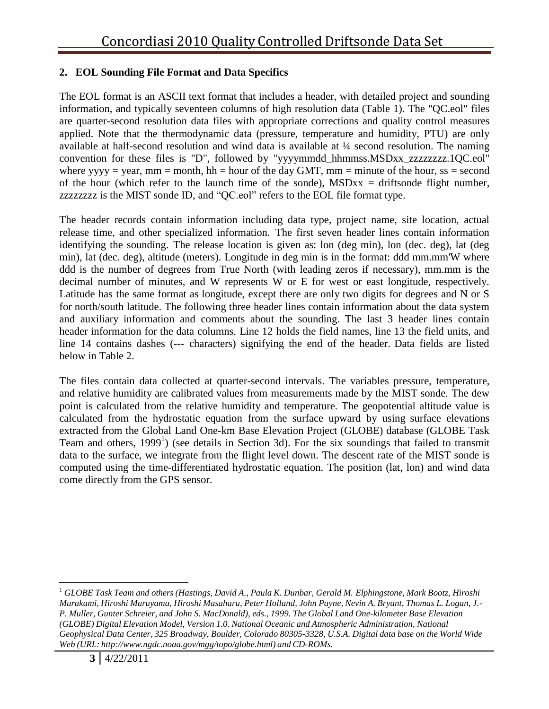## **2. EOL Sounding File Format and Data Specifics**

The EOL format is an ASCII text format that includes a header, with detailed project and sounding information, and typically seventeen columns of high resolution data (Table 1). The "QC.eol" files are quarter-second resolution data files with appropriate corrections and quality control measures applied. Note that the thermodynamic data (pressure, temperature and humidity, PTU) are only available at half-second resolution and wind data is available at ¼ second resolution. The naming convention for these files is "D", followed by "yyyymmdd\_hhmmss.MSDxx\_zzzzzzzz.1QC.eol" where yyyy = year, mm = month, hh = hour of the day GMT, mm = minute of the hour, ss = second of the hour (which refer to the launch time of the sonde),  $MSDxx = driftsonde flight number$ , zzzzzzzz is the MIST sonde ID, and "QC.eol" refers to the EOL file format type.

The header records contain information including data type, project name, site location, actual release time, and other specialized information. The first seven header lines contain information identifying the sounding. The release location is given as: lon (deg min), lon (dec. deg), lat (deg min), lat (dec. deg), altitude (meters). Longitude in deg min is in the format: ddd mm.mm'W where ddd is the number of degrees from True North (with leading zeros if necessary), mm.mm is the decimal number of minutes, and W represents W or E for west or east longitude, respectively. Latitude has the same format as longitude, except there are only two digits for degrees and N or S for north/south latitude. The following three header lines contain information about the data system and auxiliary information and comments about the sounding. The last 3 header lines contain header information for the data columns. Line 12 holds the field names, line 13 the field units, and line 14 contains dashes (--- characters) signifying the end of the header. Data fields are listed below in Table 2.

The files contain data collected at quarter-second intervals. The variables pressure, temperature, and relative humidity are calibrated values from measurements made by the MIST sonde. The dew point is calculated from the relative humidity and temperature. The geopotential altitude value is calculated from the hydrostatic equation from the surface upward by using surface elevations extracted from the Global Land One-km Base Elevation Project (GLOBE) database (GLOBE Task Team and others, 1999<sup>1</sup>) (see details in Section 3d). For the six soundings that failed to transmit data to the surface, we integrate from the flight level down. The descent rate of the MIST sonde is computed using the time-differentiated hydrostatic equation. The position (lat, lon) and wind data come directly from the GPS sensor.

 $^1$  GLOBE Task Team and others (Hastings, David A., Paula K. Dunbar, Gerald M. Elphingstone, Mark Bootz, Hiroshi *Murakami, Hiroshi Maruyama, Hiroshi Masaharu, Peter Holland, John Payne, Nevin A. Bryant, Thomas L. Logan, J.- P. Muller, Gunter Schreier, and John S. MacDonald), eds., 1999. The Global Land One-kilometer Base Elevation (GLOBE) Digital Elevation Model, Version 1.0. National Oceanic and Atmospheric Administration, National Geophysical Data Center, 325 Broadway, Boulder, Colorado 80305-3328, U.S.A. Digital data base on the World Wide Web (URL: [http://www.ngdc.noaa.gov/mgg/topo/globe.html\)](http://www.ngdc.noaa.gov/mgg/topo/globe.html)) and CD-ROMs.*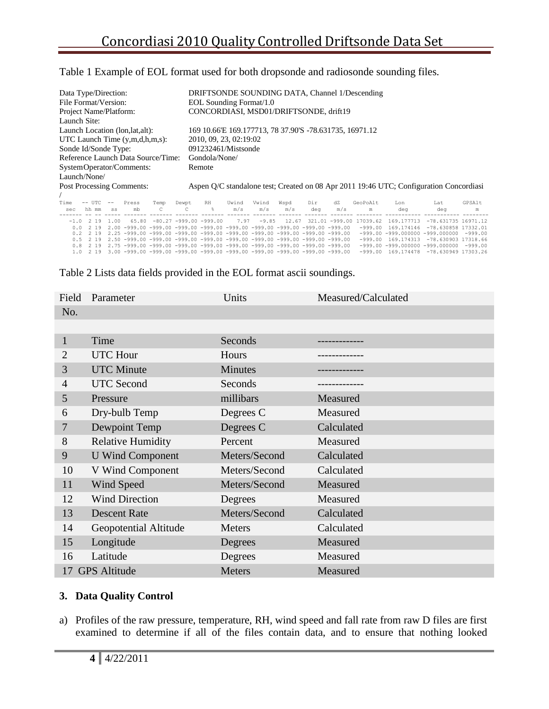#### Table 1 Example of EOL format used for both dropsonde and radiosonde sounding files.

| Data Type/Direction:<br>File Format/Version:<br>Project Name/Platform:<br>Launch Site: |                                                                                                                     |              |       |                                                          | DRIFTSONDE SOUNDING DATA, Channel 1/Descending<br>EOL Sounding Format/1.0<br>CONCORDIASI, MSD01/DRIFTSONDE, drift19 |    |       |                                                                                                   |                                                                                                                                                                                                                                                                                          |     |     |                                                                |                                                                                 |                                                                                                |                                    |
|----------------------------------------------------------------------------------------|---------------------------------------------------------------------------------------------------------------------|--------------|-------|----------------------------------------------------------|---------------------------------------------------------------------------------------------------------------------|----|-------|---------------------------------------------------------------------------------------------------|------------------------------------------------------------------------------------------------------------------------------------------------------------------------------------------------------------------------------------------------------------------------------------------|-----|-----|----------------------------------------------------------------|---------------------------------------------------------------------------------|------------------------------------------------------------------------------------------------|------------------------------------|
| Launch Location (lon, lat, alt):                                                       |                                                                                                                     |              |       | 169 10.66 E 169.177713, 78 37.90 S - 78.631735, 16971.12 |                                                                                                                     |    |       |                                                                                                   |                                                                                                                                                                                                                                                                                          |     |     |                                                                |                                                                                 |                                                                                                |                                    |
| UTC Launch Time $(y,m,d,h,m,s)$ :                                                      |                                                                                                                     |              |       | 2010, 09, 23, 02:19:02                                   |                                                                                                                     |    |       |                                                                                                   |                                                                                                                                                                                                                                                                                          |     |     |                                                                |                                                                                 |                                                                                                |                                    |
| Sonde Id/Sonde Type:                                                                   |                                                                                                                     |              |       | 091232461/Mistsonde                                      |                                                                                                                     |    |       |                                                                                                   |                                                                                                                                                                                                                                                                                          |     |     |                                                                |                                                                                 |                                                                                                |                                    |
| Reference Launch Data Source/Time:                                                     |                                                                                                                     |              |       | Gondola/None/                                            |                                                                                                                     |    |       |                                                                                                   |                                                                                                                                                                                                                                                                                          |     |     |                                                                |                                                                                 |                                                                                                |                                    |
| SystemOperator/Comments:                                                               |                                                                                                                     |              |       | Remote                                                   |                                                                                                                     |    |       |                                                                                                   |                                                                                                                                                                                                                                                                                          |     |     |                                                                |                                                                                 |                                                                                                |                                    |
|                                                                                        | Launch/None/                                                                                                        |              |       |                                                          |                                                                                                                     |    |       |                                                                                                   |                                                                                                                                                                                                                                                                                          |     |     |                                                                |                                                                                 |                                                                                                |                                    |
|                                                                                        | Aspen Q/C standalone test; Created on 08 Apr 2011 19:46 UTC; Configuration Concordiasi<br>Post Processing Comments: |              |       |                                                          |                                                                                                                     |    |       |                                                                                                   |                                                                                                                                                                                                                                                                                          |     |     |                                                                |                                                                                 |                                                                                                |                                    |
| Time                                                                                   | $--$ UTC                                                                                                            |              | Press | Temp                                                     | Dewpt                                                                                                               | RH | Uwind | Vwind                                                                                             | Wspd                                                                                                                                                                                                                                                                                     | Dir | dZ  | GeoPoAlt                                                       | T.on                                                                            | T.at.                                                                                          | GPSAlt                             |
| sec                                                                                    | hh mm                                                                                                               | SS           | mb    | C                                                        | C                                                                                                                   | ÷  | m/s   | m/s                                                                                               | m/s                                                                                                                                                                                                                                                                                      | deg | m/s | m                                                              | dea                                                                             | dea                                                                                            | m                                  |
| $-1.0$<br>0.0<br>0.2<br>0.5<br>0.8                                                     | 2 1 9<br>2, 19<br>2 1 9<br>2 1 9<br>2 1 9                                                                           | 1.00<br>2.00 |       |                                                          | $65.80 - 80.27 - 999.00 - 999.00$                                                                                   |    | 7.97  | $-9.85$<br>$2.75 -999.00 -999.00 -999.00 -999.00 -999.00 -999.00 -999.00 -999.00 -999.00 -999.00$ | 12.67<br>$-999.00 - 999.00 - 999.00 - 999.00 - 999.00 - 999.00 - 999.00 - 999.00 - 999.00 - 999.00$<br>$2.25 -999.00 -999.00 -999.00 -999.00 -999.00 -999.00 -999.00 -999.00 -999.00 -999.00$<br>$2.50 - 999.00 - 999.00 - 999.00 - 999.00 - 999.00 - 999.00 - 999.00 - 999.00 - 999.00$ |     |     | 321.01 -999.00 17039.62<br>$-999.00$<br>$-999.00$<br>$-999.00$ | 169 177713<br>169 174146<br>-999.000000<br>169.174313<br>$-999.00 - 999.000000$ | $-78.631735$ 16971.12<br>$-78.630858$<br>-999.000000<br>$-78.630903$ 17318.66<br>$-999.000000$ | 17332 01<br>$-999.00$<br>$-999.00$ |

#### Table 2 Lists data fields provided in the EOL format ascii soundings.

| Field          | Parameter                | Units          | Measured/Calculated |
|----------------|--------------------------|----------------|---------------------|
| No.            |                          |                |                     |
|                |                          |                |                     |
| 1              | Time                     | Seconds        |                     |
| 2              | <b>UTC</b> Hour          | Hours          |                     |
| 3              | <b>UTC</b> Minute        | <b>Minutes</b> |                     |
| $\overline{4}$ | <b>UTC</b> Second        | Seconds        |                     |
| 5              | Pressure                 | millibars      | Measured            |
| 6              | Dry-bulb Temp            | Degrees C      | Measured            |
| $\overline{7}$ | Dewpoint Temp            | Degrees C      | Calculated          |
| 8              | <b>Relative Humidity</b> | Percent        | Measured            |
| 9              | <b>U</b> Wind Component  | Meters/Second  | Calculated          |
| 10             | V Wind Component         | Meters/Second  | Calculated          |
| 11             | Wind Speed               | Meters/Second  | Measured            |
| 12             | <b>Wind Direction</b>    | Degrees        | Measured            |
| 13             | <b>Descent Rate</b>      | Meters/Second  | Calculated          |
| 14             | Geopotential Altitude    | Meters         | Calculated          |
| 15             | Longitude                | Degrees        | Measured            |
| 16             | Latitude                 | Degrees        | Measured            |
|                | 17 GPS Altitude          | <b>Meters</b>  | Measured            |

#### **3. Data Quality Control**

a) Profiles of the raw pressure, temperature, RH, wind speed and fall rate from raw D files are first examined to determine if all of the files contain data, and to ensure that nothing looked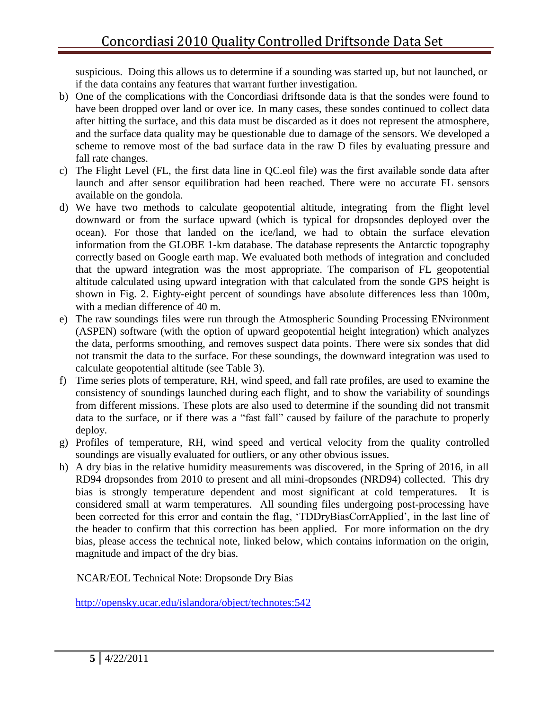suspicious. Doing this allows us to determine if a sounding was started up, but not launched, or if the data contains any features that warrant further investigation.

- b) One of the complications with the Concordiasi driftsonde data is that the sondes were found to have been dropped over land or over ice. In many cases, these sondes continued to collect data after hitting the surface, and this data must be discarded as it does not represent the atmosphere, and the surface data quality may be questionable due to damage of the sensors. We developed a scheme to remove most of the bad surface data in the raw D files by evaluating pressure and fall rate changes.
- c) The Flight Level (FL, the first data line in QC.eol file) was the first available sonde data after launch and after sensor equilibration had been reached. There were no accurate FL sensors available on the gondola.
- d) We have two methods to calculate geopotential altitude, integrating from the flight level downward or from the surface upward (which is typical for dropsondes deployed over the ocean). For those that landed on the ice/land, we had to obtain the surface elevation information from the GLOBE 1-km database. The database represents the Antarctic topography correctly based on Google earth map. We evaluated both methods of integration and concluded that the upward integration was the most appropriate. The comparison of FL geopotential altitude calculated using upward integration with that calculated from the sonde GPS height is shown in Fig. 2. Eighty-eight percent of soundings have absolute differences less than 100m, with a median difference of 40 m.
- e) The raw soundings files were run through the Atmospheric Sounding Processing ENvironment (ASPEN) software (with the option of upward geopotential height integration) which analyzes the data, performs smoothing, and removes suspect data points. There were six sondes that did not transmit the data to the surface. For these soundings, the downward integration was used to calculate geopotential altitude (see Table 3).
- f) Time series plots of temperature, RH, wind speed, and fall rate profiles, are used to examine the consistency of soundings launched during each flight, and to show the variability of soundings from different missions. These plots are also used to determine if the sounding did not transmit data to the surface, or if there was a "fast fall" caused by failure of the parachute to properly deploy.
- g) Profiles of temperature, RH, wind speed and vertical velocity from the quality controlled soundings are visually evaluated for outliers, or any other obvious issues.
- h) A dry bias in the relative humidity measurements was discovered, in the Spring of 2016, in all RD94 dropsondes from 2010 to present and all mini-dropsondes (NRD94) collected. This dry bias is strongly temperature dependent and most significant at cold temperatures. It is considered small at warm temperatures. All sounding files undergoing post-processing have been corrected for this error and contain the flag, 'TDDryBiasCorrApplied', in the last line of the header to confirm that this correction has been applied. For more information on the dry bias, please access the technical note, linked below, which contains information on the origin, magnitude and impact of the dry bias.

NCAR/EOL Technical Note: Dropsonde Dry Bias

<http://opensky.ucar.edu/islandora/object/technotes:542>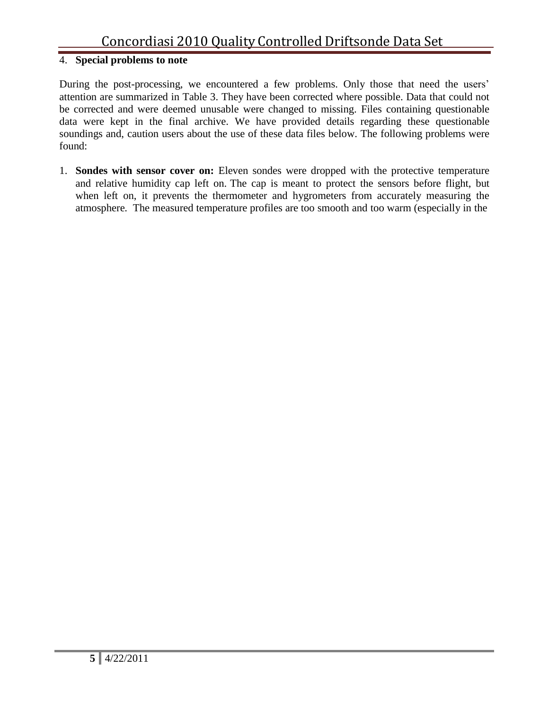# 4. **Special problems to note**

During the post-processing, we encountered a few problems. Only those that need the users' attention are summarized in Table 3. They have been corrected where possible. Data that could not be corrected and were deemed unusable were changed to missing. Files containing questionable data were kept in the final archive. We have provided details regarding these questionable soundings and, caution users about the use of these data files below. The following problems were found:

1. **Sondes with sensor cover on:** Eleven sondes were dropped with the protective temperature and relative humidity cap left on. The cap is meant to protect the sensors before flight, but when left on, it prevents the thermometer and hygrometers from accurately measuring the atmosphere. The measured temperature profiles are too smooth and too warm (especially in the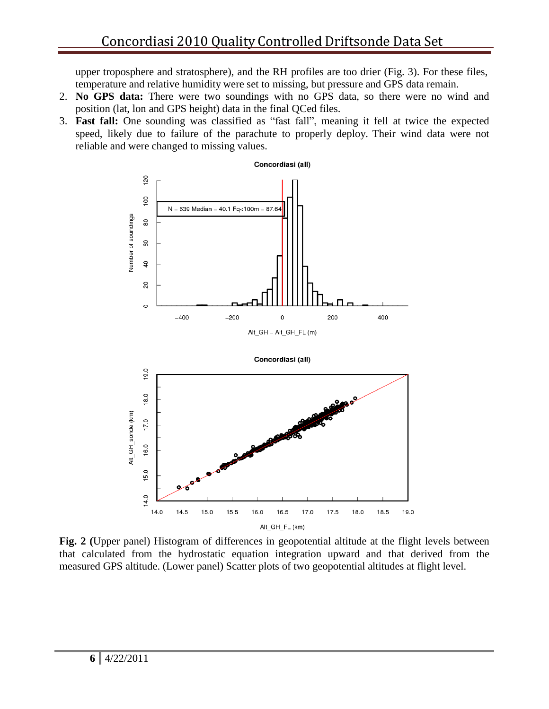upper troposphere and stratosphere), and the RH profiles are too drier (Fig. 3). For these files, temperature and relative humidity were set to missing, but pressure and GPS data remain.

- 2. **No GPS data:** There were two soundings with no GPS data, so there were no wind and position (lat, lon and GPS height) data in the final QCed files.
- 3. **Fast fall:** One sounding was classified as "fast fall", meaning it fell at twice the expected speed, likely due to failure of the parachute to properly deploy. Their wind data were not reliable and were changed to missing values.



**Fig. 2 (**Upper panel) Histogram of differences in geopotential altitude at the flight levels between that calculated from the hydrostatic equation integration upward and that derived from the measured GPS altitude. (Lower panel) Scatter plots of two geopotential altitudes at flight level.